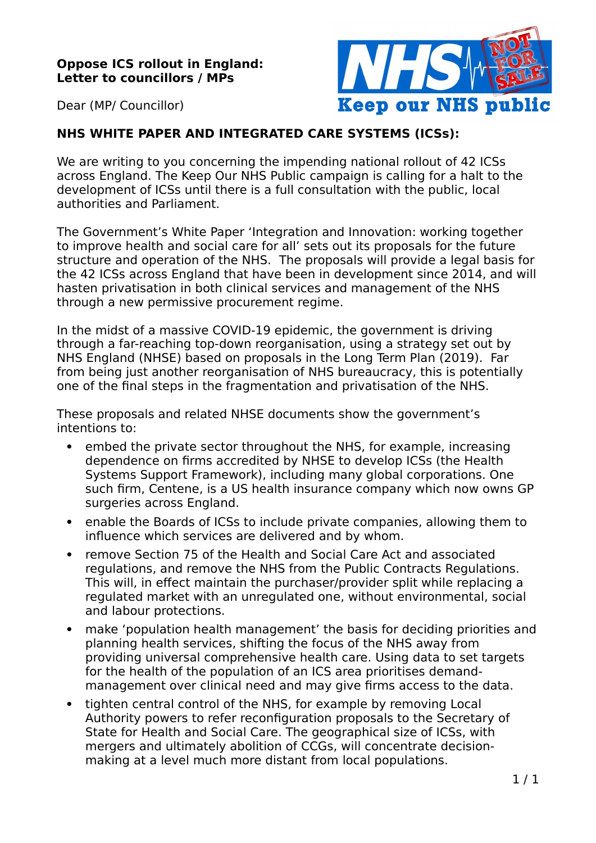## **Oppose ICS rollout in England: Letter to councillors / MPs**



Dear (MP/ Councillor)

## **NHS WHITE PAPER AND INTEGRATED CARE SYSTEMS (ICSs):**

We are writing to you concerning the impending national rollout of 42 ICSs across England. The Keep Our NHS Public campaign is calling for a halt to the development of ICSs until there is a full consultation with the public, local authorities and Parliament.

The Government's White Paper 'Integration and Innovation: working together to improve health and social care for all' sets out its proposals for the future structure and operation of the NHS. The proposals will provide a legal basis for the 42 ICSs across England that have been in development since 2014, and will hasten privatisation in both clinical services and management of the NHS through a new permissive procurement regime.

In the midst of a massive COVID-19 epidemic, the government is driving through a far-reaching top-down reorganisation, using a strategy set out by NHS England (NHSE) based on proposals in the Long Term Plan (2019). Far from being just another reorganisation of NHS bureaucracy, this is potentially one of the final steps in the fragmentation and privatisation of the NHS.

These proposals and related NHSE documents show the government's intentions to:

- embed the private sector throughout the NHS, for example, increasing dependence on firms accredited by NHSE to develop ICSs (the Health Systems Support Framework), including many global corporations. One such firm, Centene, is a US health insurance company which now owns GP surgeries across England.
- enable the Boards of ICSs to include private companies, allowing them to influence which services are delivered and by whom.
- remove Section 75 of the Health and Social Care Act and associated regulations, and remove the NHS from the Public Contracts Regulations. This will, in effect maintain the purchaser/provider split while replacing a regulated market with an unregulated one, without environmental, social and labour protections.
- make 'population health management' the basis for deciding priorities and planning health services, shifting the focus of the NHS away from providing universal comprehensive health care. Using data to set targets for the health of the population of an ICS area prioritises demandmanagement over clinical need and may give firms access to the data.
- tighten central control of the NHS, for example by removing Local Authority powers to refer reconfiguration proposals to the Secretary of State for Health and Social Care. The geographical size of ICSs, with mergers and ultimately abolition of CCGs, will concentrate decisionmaking at a level much more distant from local populations.